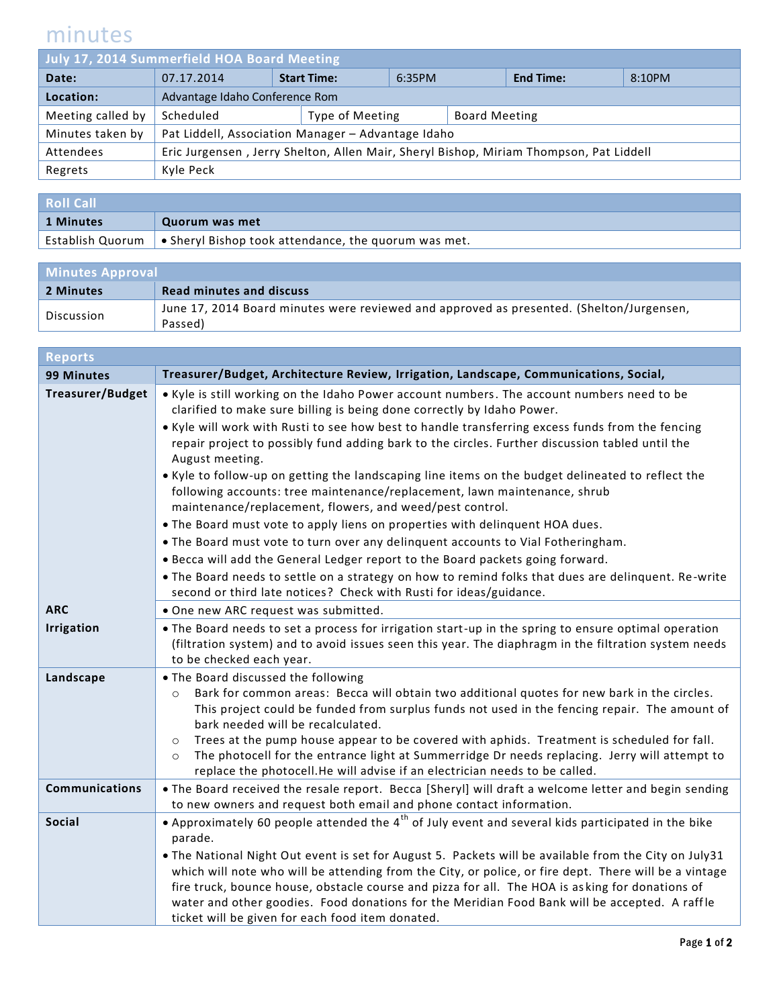## minutes

| July 17, 2014 Summerfield HOA Board Meeting |                                                                                        |  |                 |  |                      |        |  |
|---------------------------------------------|----------------------------------------------------------------------------------------|--|-----------------|--|----------------------|--------|--|
| Date:                                       | <b>Start Time:</b><br>07.17.2014                                                       |  | 6:35PM          |  | <b>End Time:</b>     | 8:10PM |  |
| Location:                                   | Advantage Idaho Conference Rom                                                         |  |                 |  |                      |        |  |
| Meeting called by                           | Scheduled                                                                              |  | Type of Meeting |  | <b>Board Meeting</b> |        |  |
| Minutes taken by                            | Pat Liddell, Association Manager - Advantage Idaho                                     |  |                 |  |                      |        |  |
| Attendees                                   | Eric Jurgensen, Jerry Shelton, Allen Mair, Sheryl Bishop, Miriam Thompson, Pat Liddell |  |                 |  |                      |        |  |
| Regrets                                     | Kyle Peck                                                                              |  |                 |  |                      |        |  |
|                                             |                                                                                        |  |                 |  |                      |        |  |

| <b>Roll Call</b> |                                                                                             |
|------------------|---------------------------------------------------------------------------------------------|
| 1 Minutes        | Quorum was met                                                                              |
|                  | Establish Quorum $\, \mid \, \bullet \,$ Sheryl Bishop took attendance, the quorum was met. |

| <b>Minutes Approval</b> |                                                                                          |  |
|-------------------------|------------------------------------------------------------------------------------------|--|
| 2 Minutes               | <b>Read minutes and discuss</b>                                                          |  |
| Discussion              | June 17, 2014 Board minutes were reviewed and approved as presented. (Shelton/Jurgensen, |  |
|                         | Passed)                                                                                  |  |

| <b>Reports</b>          |                                                                                                                                                                                                                                                                                                                                                                                                                                                                                                                                                                                         |  |  |  |
|-------------------------|-----------------------------------------------------------------------------------------------------------------------------------------------------------------------------------------------------------------------------------------------------------------------------------------------------------------------------------------------------------------------------------------------------------------------------------------------------------------------------------------------------------------------------------------------------------------------------------------|--|--|--|
| <b>99 Minutes</b>       | Treasurer/Budget, Architecture Review, Irrigation, Landscape, Communications, Social,                                                                                                                                                                                                                                                                                                                                                                                                                                                                                                   |  |  |  |
| <b>Treasurer/Budget</b> | . Kyle is still working on the Idaho Power account numbers. The account numbers need to be<br>clarified to make sure billing is being done correctly by Idaho Power.                                                                                                                                                                                                                                                                                                                                                                                                                    |  |  |  |
|                         | . Kyle will work with Rusti to see how best to handle transferring excess funds from the fencing<br>repair project to possibly fund adding bark to the circles. Further discussion tabled until the<br>August meeting.                                                                                                                                                                                                                                                                                                                                                                  |  |  |  |
|                         | . Kyle to follow-up on getting the landscaping line items on the budget delineated to reflect the<br>following accounts: tree maintenance/replacement, lawn maintenance, shrub<br>maintenance/replacement, flowers, and weed/pest control.                                                                                                                                                                                                                                                                                                                                              |  |  |  |
|                         | . The Board must vote to apply liens on properties with delinquent HOA dues.                                                                                                                                                                                                                                                                                                                                                                                                                                                                                                            |  |  |  |
|                         | . The Board must vote to turn over any delinquent accounts to Vial Fotheringham.                                                                                                                                                                                                                                                                                                                                                                                                                                                                                                        |  |  |  |
|                         | . Becca will add the General Ledger report to the Board packets going forward.                                                                                                                                                                                                                                                                                                                                                                                                                                                                                                          |  |  |  |
|                         | . The Board needs to settle on a strategy on how to remind folks that dues are delinquent. Re-write<br>second or third late notices? Check with Rusti for ideas/guidance.                                                                                                                                                                                                                                                                                                                                                                                                               |  |  |  |
| <b>ARC</b>              | . One new ARC request was submitted.                                                                                                                                                                                                                                                                                                                                                                                                                                                                                                                                                    |  |  |  |
| <b>Irrigation</b>       | • The Board needs to set a process for irrigation start-up in the spring to ensure optimal operation<br>(filtration system) and to avoid issues seen this year. The diaphragm in the filtration system needs<br>to be checked each year.                                                                                                                                                                                                                                                                                                                                                |  |  |  |
| Landscape               | . The Board discussed the following<br>Bark for common areas: Becca will obtain two additional quotes for new bark in the circles.<br>$\circ$<br>This project could be funded from surplus funds not used in the fencing repair. The amount of<br>bark needed will be recalculated.<br>Trees at the pump house appear to be covered with aphids. Treatment is scheduled for fall.<br>$\circ$<br>The photocell for the entrance light at Summerridge Dr needs replacing. Jerry will attempt to<br>$\circ$<br>replace the photocell. He will advise if an electrician needs to be called. |  |  |  |
| <b>Communications</b>   | . The Board received the resale report. Becca [Sheryl] will draft a welcome letter and begin sending                                                                                                                                                                                                                                                                                                                                                                                                                                                                                    |  |  |  |
|                         | to new owners and request both email and phone contact information.                                                                                                                                                                                                                                                                                                                                                                                                                                                                                                                     |  |  |  |
| <b>Social</b>           | • Approximately 60 people attended the $4^{th}$ of July event and several kids participated in the bike<br>parade.                                                                                                                                                                                                                                                                                                                                                                                                                                                                      |  |  |  |
|                         | . The National Night Out event is set for August 5. Packets will be available from the City on July31<br>which will note who will be attending from the City, or police, or fire dept. There will be a vintage<br>fire truck, bounce house, obstacle course and pizza for all. The HOA is asking for donations of<br>water and other goodies. Food donations for the Meridian Food Bank will be accepted. A raffle<br>ticket will be given for each food item donated.                                                                                                                  |  |  |  |